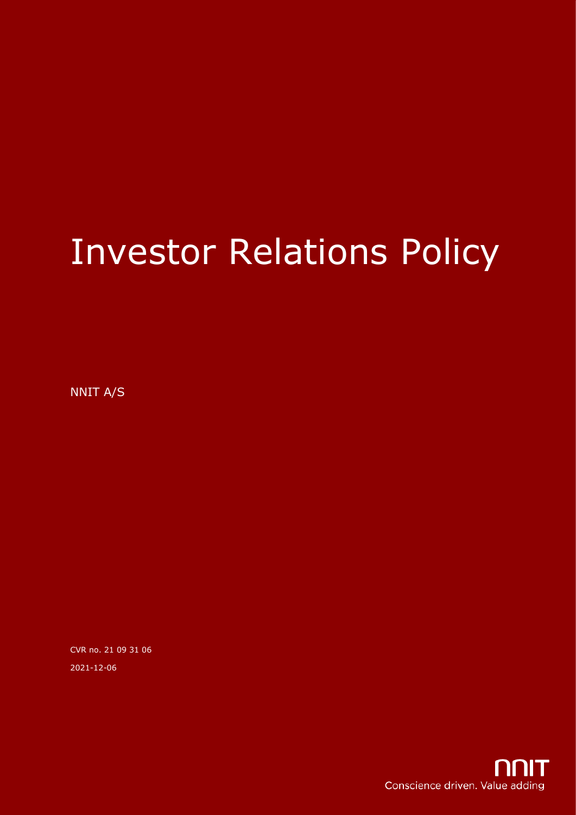# Investor Relations Policy

NNIT A/S

CVR no. 21 09 31 06 2021-12-06

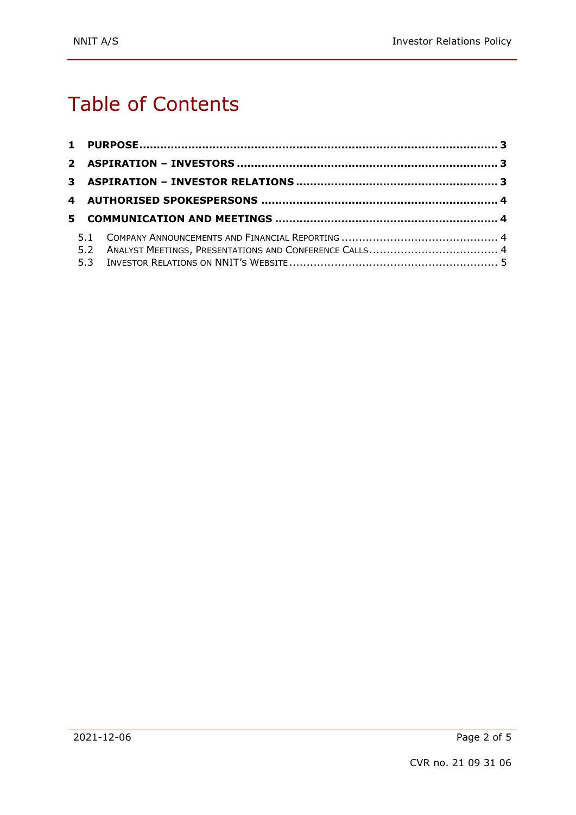# Table of Contents

|  | 5.2 ANALYST MEETINGS, PRESENTATIONS AND CONFERENCE CALLS 4 |  |
|--|------------------------------------------------------------|--|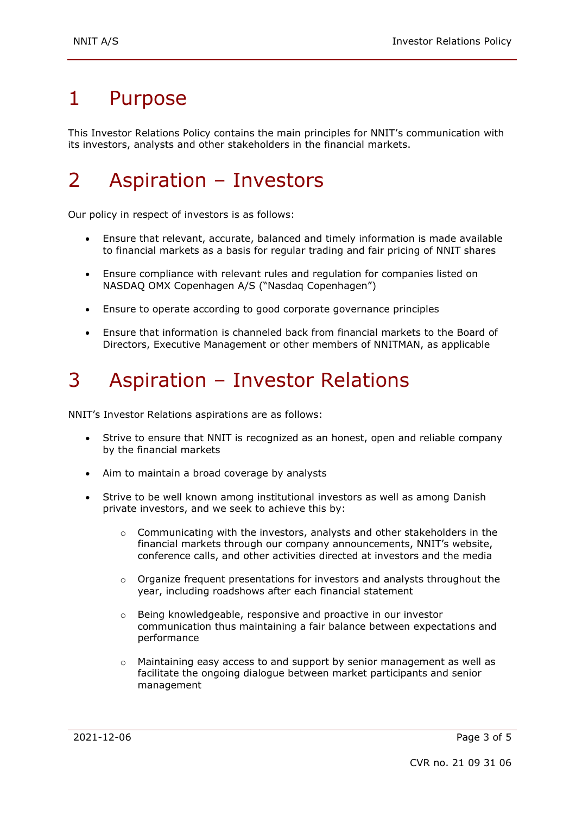# 1 Purpose

This Investor Relations Policy contains the main principles for NNIT's communication with its investors, analysts and other stakeholders in the financial markets.

# 2 Aspiration – Investors

Our policy in respect of investors is as follows:

- Ensure that relevant, accurate, balanced and timely information is made available to financial markets as a basis for regular trading and fair pricing of NNIT shares
- Ensure compliance with relevant rules and regulation for companies listed on NASDAQ OMX Copenhagen A/S ("Nasdaq Copenhagen")
- Ensure to operate according to good corporate governance principles
- Ensure that information is channeled back from financial markets to the Board of Directors, Executive Management or other members of NNITMAN, as applicable

## 3 Aspiration – Investor Relations

NNIT's Investor Relations aspirations are as follows:

- Strive to ensure that NNIT is recognized as an honest, open and reliable company by the financial markets
- Aim to maintain a broad coverage by analysts
- Strive to be well known among institutional investors as well as among Danish private investors, and we seek to achieve this by:
	- $\circ$  Communicating with the investors, analysts and other stakeholders in the financial markets through our company announcements, NNIT's website, conference calls, and other activities directed at investors and the media
	- $\circ$  Organize frequent presentations for investors and analysts throughout the year, including roadshows after each financial statement
	- o Being knowledgeable, responsive and proactive in our investor communication thus maintaining a fair balance between expectations and performance
	- $\circ$  Maintaining easy access to and support by senior management as well as facilitate the ongoing dialogue between market participants and senior management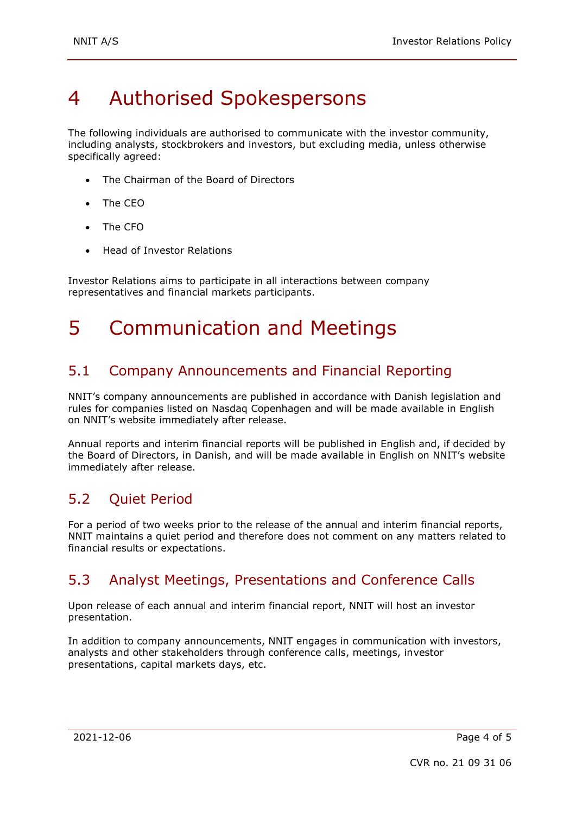# 4 Authorised Spokespersons

The following individuals are authorised to communicate with the investor community, including analysts, stockbrokers and investors, but excluding media, unless otherwise specifically agreed:

- The Chairman of the Board of Directors
- The CEO
- The CFO
- Head of Investor Relations

Investor Relations aims to participate in all interactions between company representatives and financial markets participants.

## 5 Communication and Meetings

### 5.1 Company Announcements and Financial Reporting

NNIT's company announcements are published in accordance with Danish legislation and rules for companies listed on Nasdaq Copenhagen and will be made available in English on NNIT's website immediately after release.

Annual reports and interim financial reports will be published in English and, if decided by the Board of Directors, in Danish, and will be made available in English on NNIT's website immediately after release.

### 5.2 Quiet Period

For a period of two weeks prior to the release of the annual and interim financial reports, NNIT maintains a quiet period and therefore does not comment on any matters related to financial results or expectations.

### 5.3 Analyst Meetings, Presentations and Conference Calls

Upon release of each annual and interim financial report, NNIT will host an investor presentation.

In addition to company announcements, NNIT engages in communication with investors, analysts and other stakeholders through conference calls, meetings, investor presentations, capital markets days, etc.